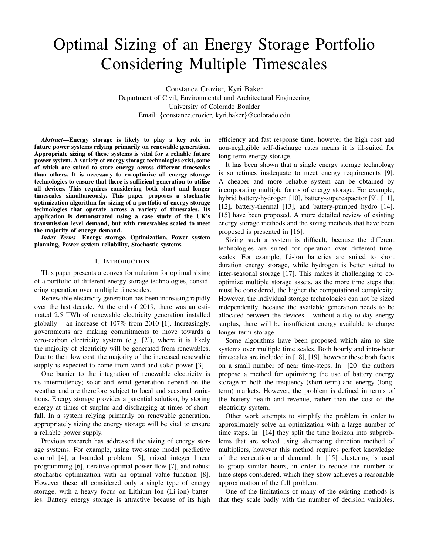# Optimal Sizing of an Energy Storage Portfolio Considering Multiple Timescales

Constance Crozier, Kyri Baker Department of Civil, Environmental and Architectural Engineering University of Colorado Boulder Email: {constance.crozier, kyri.baker}@colorado.edu

*Abstract*—Energy storage is likely to play a key role in future power systems relying primarily on renewable generation. Appropriate sizing of these systems is vital for a reliable future power system. A variety of energy storage technologies exist, some of which are suited to store energy across different timescales than others. It is necessary to co-optimize all energy storage technologies to ensure that there is sufficient generation to utilise all devices. This requires considering both short and longer timescales simultaneously. This paper proposes a stochastic optimization algorithm for sizing of a portfolio of energy storage technologies that operate across a variety of timescales. Its application is demonstrated using a case study of the UK's transmission level demand, but with renewables scaled to meet the majority of energy demand.

*Index Terms*—Energy storage, Optimization, Power system planning, Power system reliability, Stochastic systems

# I. INTRODUCTION

This paper presents a convex formulation for optimal sizing of a portfolio of different energy storage technologies, considering operation over multiple timescales.

Renewable electricity generation has been increasing rapidly over the last decade. At the end of 2019, there was an estimated 2.5 TWh of renewable electricity generation installed globally – an increase of  $107\%$  from 2010 [1]. Increasingly, governments are making commitments to move towards a zero-carbon electricity system (e.g. [2]), where it is likely the majority of electricity will be generated from renewables. Due to their low cost, the majority of the increased renewable supply is expected to come from wind and solar power [3].

One barrier to the integration of renewable electricity is its intermittency; solar and wind generation depend on the weather and are therefore subject to local and seasonal variations. Energy storage provides a potential solution, by storing energy at times of surplus and discharging at times of shortfall. In a system relying primarily on renewable generation, appropriately sizing the energy storage will be vital to ensure a reliable power supply.

Previous research has addressed the sizing of energy storage systems. For example, using two-stage model predictive control [4], a bounded problem [5], mixed integer linear programming [6], iterative optimal power flow [7], and robust stochastic optimization with an optimal value function [8]. However these all considered only a single type of energy storage, with a heavy focus on Lithium Ion (Li-ion) batteries. Battery energy storage is attractive because of its high efficiency and fast response time, however the high cost and non-negligible self-discharge rates means it is ill-suited for long-term energy storage.

It has been shown that a single energy storage technology is sometimes inadequate to meet energy requirements [9]. A cheaper and more reliable system can be obtained by incorporating multiple forms of energy storage. For example, hybrid battery-hydrogen [10], battery-supercapacitor [9], [11], [12], battery-thermal [13], and battery-pumped hydro [14], [15] have been proposed. A more detailed review of existing energy storage methods and the sizing methods that have been proposed is presented in [16].

Sizing such a system is difficult, because the different technologies are suited for operation over different timescales. For example, Li-ion batteries are suited to short duration energy storage, while hydrogen is better suited to inter-seasonal storage [17]. This makes it challenging to cooptimize multiple storage assets, as the more time steps that must be considered, the higher the computational complexity. However, the individual storage technologies can not be sized independently, because the available generation needs to be allocated between the devices – without a day-to-day energy surplus, there will be insufficient energy available to charge longer term storage.

Some algorithms have been proposed which aim to size systems over multiple time scales. Both hourly and intra-hour timescales are included in [18], [19], however these both focus on a small number of near time-steps. In [20] the authors propose a method for optimizing the use of battery energy storage in both the frequency (short-term) and energy (longterm) markets. However, the problem is defined in terms of the battery health and revenue, rather than the cost of the electricity system.

Other work attempts to simplify the problem in order to approximately solve an optimization with a large number of time steps. In [14] they split the time horizon into subproblems that are solved using alternating direction method of multipliers, however this method requires perfect knowledge of the generation and demand. In [15] clustering is used to group similar hours, in order to reduce the number of time steps considered, which they show achieves a reasonable approximation of the full problem.

One of the limitations of many of the existing methods is that they scale badly with the number of decision variables,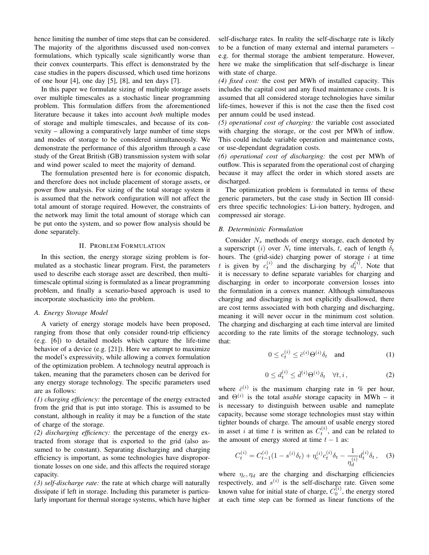hence limiting the number of time steps that can be considered. The majority of the algorithms discussed used non-convex formulations, which typically scale significantly worse than their convex counterparts. This effect is demonstrated by the case studies in the papers discussed, which used time horizons of one hour  $[4]$ , one day  $[5]$ ,  $[8]$ , and ten days  $[7]$ .

In this paper we formulate sizing of multiple storage assets over multiple timescales as a stochastic linear programming problem. This formulation differs from the aforementioned literature because it takes into account *both* multiple modes of storage and multiple timescales, and because of its convexity – allowing a comparatively large number of time steps and modes of storage to be considered simultaneously. We demonstrate the performance of this algorithm through a case study of the Great British (GB) transmission system with solar and wind power scaled to meet the majority of demand.

The formulation presented here is for economic dispatch, and therefore does not include placement of storage assets, or power flow analysis. For sizing of the total storage system it is assumed that the network configuration will not affect the total amount of storage required. However, the constraints of the network may limit the total amount of storage which can be put onto the system, and so power flow analysis should be done separately.

## II. PROBLEM FORMULATION

In this section, the energy storage sizing problem is formulated as a stochastic linear program. First, the parameters used to describe each storage asset are described, then multitimescale optimal sizing is formulated as a linear programming problem, and finally a scenario-based approach is used to incorporate stochasticity into the problem.

# *A. Energy Storage Model*

A variety of energy storage models have been proposed, ranging from those that only consider round-trip efficiency (e.g. [6]) to detailed models which capture the life-time behavior of a device (e.g. [21]). Here we attempt to maximize the model's expressivity, while allowing a convex formulation of the optimization problem. A technology neutral approach is taken, meaning that the parameters chosen can be derived for any energy storage technology. The specific parameters used are as follows:

*(1) charging efficiency:* the percentage of the energy extracted from the grid that is put into storage. This is assumed to be constant, although in reality it may be a function of the state of charge of the storage.

*(2) discharging efficiency:* the percentage of the energy extracted from storage that is exported to the grid (also assumed to be constant). Separating discharging and charging efficiency is important, as some technologies have disproportionate losses on one side, and this affects the required storage capacity.

*(3) self-discharge rate:* the rate at which charge will naturally dissipate if left in storage. Including this parameter is particularly important for thermal storage systems, which have higher self-discharge rates. In reality the self-discharge rate is likely to be a function of many external and internal parameters – e.g. for thermal storage the ambient temperature. However, here we make the simplification that self-discharge is linear with state of charge.

*(4) fixed cost:* the cost per MWh of installed capacity. This includes the capital cost and any fixed maintenance costs. It is assumed that all considered storage technologies have similar life-times, however if this is not the case then the fixed cost per annum could be used instead.

*(5) operational cost of charging:* the variable cost associated with charging the storage, or the cost per MWh of inflow. This could include variable operation and maintenance costs, or use-dependant degradation costs.

*(6) operational cost of discharging:* the cost per MWh of outflow. This is separated from the operational cost of charging because it may affect the order in which stored assets are discharged.

The optimization problem is formulated in terms of these generic parameters, but the case study in Section III considers three specific technologies: Li-ion battery, hydrogen, and compressed air storage.

#### *B. Deterministic Formulation*

Consider  $N_s$  methods of energy storage, each denoted by a superscript (i) over  $N_t$  time intervals, t, each of length  $\delta_t$ hours. The (grid-side) charging power of storage  $i$  at time t is given by  $c_t^{(i)}$  and the discharging by  $d_t^{(i)}$ . Note that it is necessary to define separate variables for charging and discharging in order to incorporate conversion losses into the formulation in a convex manner. Although simultaneous charging and discharging is not explicitly disallowed, there are cost terms associated with both charging and discharging, meaning it will never occur in the minimum cost solution. The charging and discharging at each time interval are limited according to the rate limits of the storage technology, such that:

$$
0 \le c_t^{(i)} \le \bar{c}^{(i)} \Theta^{(i)} \delta_t \quad \text{and} \tag{1}
$$

$$
0 \le d_t^{(i)} \le \bar{d}^{(i)} \Theta^{(i)} \delta_t \quad \forall t, i \,, \tag{2}
$$

where  $\bar{c}^{(i)}$  is the maximum charging rate in % per hour, and  $\Theta^{(i)}$  is the total *usable* storage capacity in MWh – it is necessary to distinguish between usable and nameplate capacity, because some storage technologies must stay within tighter bounds of charge. The amount of usable energy stored in asset i at time t is written as  $C_t^{(i)}$ , and can be related to the amount of energy stored at time  $t - 1$  as:

$$
C_t^{(i)} = C_{t-1}^{(i)}(1 - s^{(i)}\delta_t) + \eta_c^{(i)}c_t^{(i)}\delta_t - \frac{1}{\eta_d^{(i)}}d_t^{(i)}\delta_t, \quad (3)
$$

where  $\eta_c, \eta_d$  are the charging and discharging efficiencies respectively, and  $s^{(i)}$  is the self-discharge rate. Given some known value for initial state of charge,  $C_0^{(i)}$ , the energy stored at each time step can be formed as linear functions of the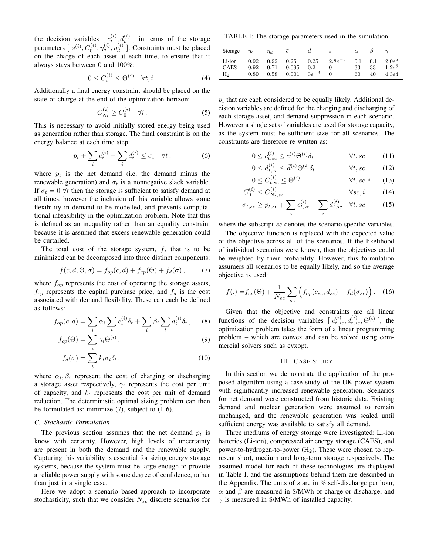the decision variables  $\left[ c_t^{(i)}, d_t^{(i)} \right]$  in terms of the storage parameters  $[s^{(i)}, C_0^{(i)}, \eta_c^{(i)}, \eta_d^{(i)}]$  $\binom{a}{d}$ . Constraints must be placed on the charge of each asset at each time, to ensure that it always stays between 0 and 100%:

$$
0 \le C_t^{(i)} \le \Theta^{(i)} \quad \forall t, i. \tag{4}
$$

Additionally a final energy constraint should be placed on the state of charge at the end of the optimization horizon:

$$
C_{N_t}^{(i)} \ge C_0^{(i)} \quad \forall i. \tag{5}
$$

This is necessary to avoid initially stored energy being used as generation rather than storage. The final constraint is on the energy balance at each time step:

$$
p_t + \sum_i c_t^{(i)} - \sum_i d_t^{(i)} \le \sigma_t \quad \forall t \,, \tag{6}
$$

where  $p_t$  is the net demand (i.e. the demand minus the renewable generation) and  $\sigma_t$  is a nonnegative slack variable. If  $\sigma_t = 0$   $\forall t$  then the storage is sufficient to satisfy demand at all times, however the inclusion of this variable allows some flexibility in demand to be modelled, and prevents computational infeasibility in the optimization problem. Note that this is defined as an inequality rather than an equality constraint because it is assumed that excess renewable generation could be curtailed.

The total cost of the storage system,  $f$ , that is to be minimized can be decomposed into three distinct components:

$$
f(c, d, \Theta, \sigma) = f_{op}(c, d) + f_{cp}(\Theta) + f_d(\sigma), \tag{7}
$$

where  $f_{op}$  represents the cost of operating the storage assets,  $f_{cp}$  represents the capital purchase price, and  $f_d$  is the cost associated with demand flexibility. These can each be defined as follows:

$$
f_{op}(c,d) = \sum_i \alpha_i \sum_t c_t^{(i)} \delta_t + \sum_i \beta_i \sum_t d_t^{(i)} \delta_t , \quad (8)
$$

$$
f_{cp}(\Theta) = \sum_{i} \gamma_i \Theta^{(i)}, \qquad (9)
$$

$$
f_d(\sigma) = \sum_{t}^{t} k_t \sigma_t \delta_t, \qquad (10)
$$

where  $\alpha_i, \beta_i$  represent the cost of charging or discharging a storage asset respectively,  $\gamma_i$  represents the cost per unit of capacity, and  $k_t$  represents the cost per unit of demand reduction. The deterministic optimal sizing problem can then be formulated as: minimize (7), subject to (1-6).

## *C. Stochastic Formulation*

The previous section assumes that the net demand  $p_t$  is know with certainty. However, high levels of uncertainty are present in both the demand and the renewable supply. Capturing this variability is essential for sizing energy storage systems, because the system must be large enough to provide a reliable power supply with some degree of confidence, rather than just in a single case.

Here we adopt a scenario based approach to incorporate stochasticity, such that we consider  $N_{sc}$  discrete scenarios for

TABLE I: The storage parameters used in the simulation

| Storage                     | $n_c$                | $\eta_d$     |                |                               | S                                                        | $\alpha$        |                 |                               |
|-----------------------------|----------------------|--------------|----------------|-------------------------------|----------------------------------------------------------|-----------------|-----------------|-------------------------------|
| Li-ion<br><b>CAES</b><br>Hэ | 0.92<br>0.92<br>0.80 | 0.71<br>0.58 | 0.095<br>0.001 | 0.2 <sub>1</sub><br>$3e^{-3}$ | $0.92 \quad 0.25 \quad 0.25 \quad 2.8e^{-5}$<br>$\theta$ | 0.1<br>33<br>60 | 0.1<br>33<br>40 | $2.0e^5$<br>$1.2e^5$<br>4.3e4 |

 $p_t$  that are each considered to be equally likely. Additional decision variables are defined for the charging and discharging of each storage asset, and demand suppression in each scenario. However a single set of variables are used for storage capacity, as the system must be sufficient size for all scenarios. The constraints are therefore re-written as:

$$
0 \le c_{t,sc}^{(i)} \le \bar{c}^{(i)} \Theta^{(i)} \delta_t \qquad \forall t, sc \qquad (11)
$$

$$
0 \le d_{t,sc}^{(i)} \le \bar{d}^{(i)} \Theta^{(i)} \delta_t \qquad \forall t, sc \qquad (12)
$$

$$
0 \le C_{t,sc}^{(i)} \le \Theta^{(i)} \qquad \qquad \forall t, sc, i \qquad (13)
$$

$$
C_0^{(i)} \le C_{N_t,sc}^{(i)} \qquad \qquad \forall sc, i \qquad (14)
$$

$$
\sigma_{t,sc} \ge p_{t,sc} + \sum_i c_{t,sc}^{(i)} - \sum_i d_{t,sc}^{(i)} \quad \forall t, sc \tag{15}
$$

where the subscript sc denotes the scenario specific variables.

 $\overline{c}$ 

The objective function is replaced with the expected value of the objective across all of the scenarios. If the likelihood of individual scenarios were known, then the objectives could be weighted by their probability. However, this formulation assumers all scenarios to be equally likely, and so the average objective is used:

$$
f(.) = f_{cp}(\Theta) + \frac{1}{N_{sc}} \sum_{sc} \left( f_{op}(c_{sc}, d_{sc}) + f_d(\sigma_{sc}) \right). \quad (16)
$$

Given that the objective and constraints are all linear functions of the decision variables  $[c_{t,sc}^{(i)}, d_{t,sc}^{(i)}, \Theta^{(i)}]$ , the optimization problem takes the form of a linear programming problem – which are convex and can be solved using commercial solvers such as cvxopt.

## III. CASE STUDY

In this section we demonstrate the application of the proposed algorithm using a case study of the UK power system with significantly increased renewable generation. Scenarios for net demand were constructed from historic data. Existing demand and nuclear generation were assumed to remain unchanged, and the renewable generation was scaled until sufficient energy was available to satisfy all demand.

Three mediums of energy storage were investigated: Li-ion batteries (Li-ion), compressed air energy storage (CAES), and power-to-hydrogen-to-power  $(H<sub>2</sub>)$ . These were chosen to represent short, medium and long-term storage respectively. The assumed model for each of these technologies are displayed in Table I, and the assumptions behind them are described in the Appendix. The units of s are in  $\%$  self-discharge per hour,  $\alpha$  and  $\beta$  are measured in \$/MWh of charge or discharge, and  $\gamma$  is measured in \$/MWh of installed capacity.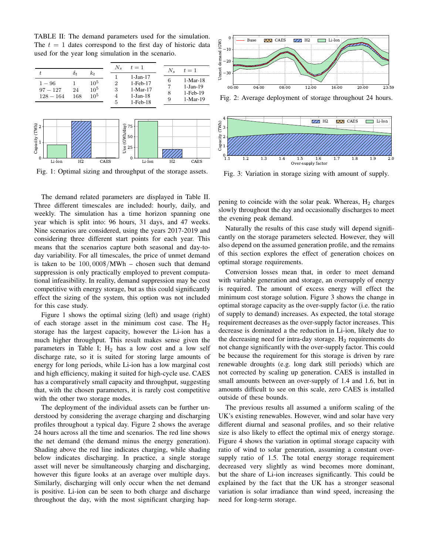TABLE II: The demand parameters used for the simulation. The  $t = 1$  dates correspond to the first day of historic data used for the year long simulation in the scenario.



Fig. 1: Optimal sizing and throughput of the storage assets.

The demand related parameters are displayed in Table II. Three different timescales are included: hourly, daily, and weekly. The simulation has a time horizon spanning one year which is split into: 96 hours, 31 days, and 47 weeks. Nine scenarios are considered, using the years 2017-2019 and considering three different start points for each year. This means that the scenarios capture both seasonal and day-today variability. For all timescales, the price of unmet demand is taken to be 100, 000\$/MWh – chosen such that demand suppression is only practically employed to prevent computational infeasibility. In reality, demand suppression may be cost competitive with energy storage, but as this could significantly effect the sizing of the system, this option was not included for this case study.

Figure 1 shows the optimal sizing (left) and usage (right) of each storage asset in the minimum cost case. The  $H_2$ storage has the largest capacity, however the Li-ion has a much higher throughput. This result makes sense given the parameters in Table I;  $H_2$  has a low cost and a low self discharge rate, so it is suited for storing large amounts of energy for long periods, while Li-ion has a low marginal cost and high efficiency, making it suited for high-cycle use. CAES has a comparatively small capacity and throughput, suggesting that, with the chosen parameters, it is rarely cost competitive with the other two storage modes.

The deployment of the individual assets can be further understood by considering the average charging and discharging profiles throughout a typical day. Figure 2 shows the average 24 hours across all the time and scenarios. The red line shows the net demand (the demand minus the energy generation). Shading above the red line indicates charging, while shading below indicates discharging. In practice, a single storage asset will never be simultaneously charging and discharging, however this figure looks at an average over multiple days. Similarly, discharging will only occur when the net demand is positive. Li-ion can be seen to both charge and discharge throughout the day, with the most significant charging hap-



Fig. 2: Average deployment of storage throughout 24 hours.



Fig. 3: Variation in storage sizing with amount of supply.

pening to coincide with the solar peak. Whereas,  $H_2$  charges slowly throughout the day and occasionally discharges to meet the evening peak demand.

Naturally the results of this case study will depend significantly on the storage parameters selected. However, they will also depend on the assumed generation profile, and the remains of this section explores the effect of generation choices on optimal storage requirements.

Conversion losses mean that, in order to meet demand with variable generation and storage, an oversupply of energy is required. The amount of excess energy will effect the minimum cost storage solution. Figure 3 shows the change in optimal storage capacity as the over-supply factor (i.e. the ratio of supply to demand) increases. As expected, the total storage requirement decreases as the over-supply factor increases. This decrease is dominated a the reduction in Li-ion, likely due to the decreasing need for intra-day storage.  $H_2$  requirements do not change significantly with the over-supply factor. This could be because the requirement for this storage is driven by rare renewable droughts (e.g. long dark still periods) which are not corrected by scaling up generation. CAES is installed in small amounts between an over-supply of 1.4 and 1.6, but in amounts difficult to see on this scale, zero CAES is installed outside of these bounds.

The previous results all assumed a uniform scaling of the UK's existing renewables. However, wind and solar have very different diurnal and seasonal profiles, and so their relative size is also likely to effect the optimal mix of energy storage. Figure 4 shows the variation in optimal storage capacity with ratio of wind to solar generation, assuming a constant oversupply ratio of 1.5. The total energy storage requirement decreased very slightly as wind becomes more dominant, but the share of Li-ion increases significantly. This could be explained by the fact that the UK has a stronger seasonal variation is solar irradiance than wind speed, increasing the need for long-term storage.